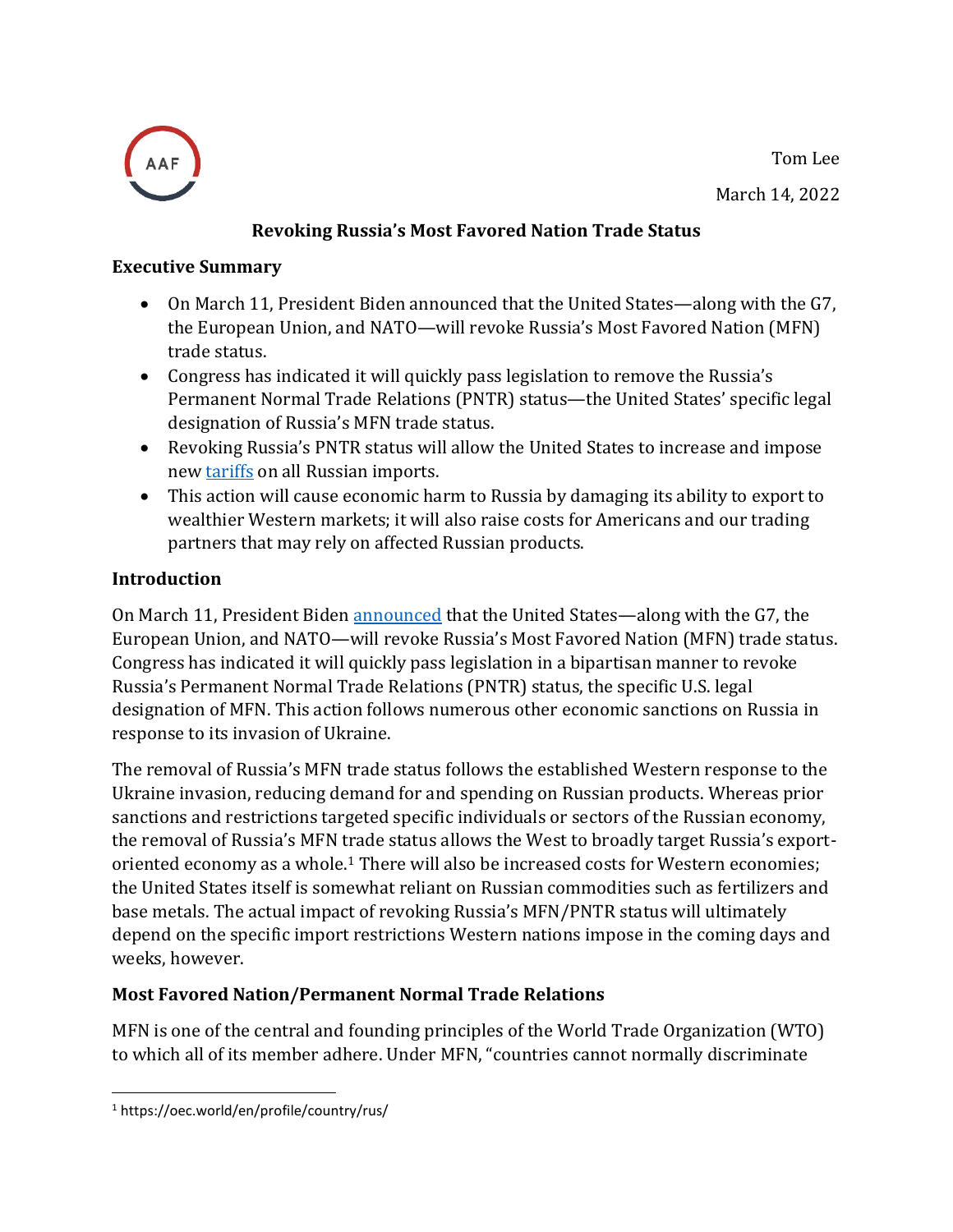Tom Lee

March 14, 2022



# **Revoking Russia's Most Favored Nation Trade Status**

#### **Executive Summary**

- On March 11, President Biden announced that the United States—along with the G7, the European Union, and NATO—will revoke Russia's Most Favored Nation (MFN) trade status.
- Congress has indicated it will quickly pass legislation to remove the Russia's Permanent Normal Trade Relations (PNTR) status—the United States' specific legal designation of Russia's MFN trade status.
- Revoking Russia's PNTR status will allow the United States to increase and impose new [tariffs](https://www.americanactionforum.org/research/the-total-cost-of-tariffs/) on all Russian imports.
- This action will cause economic harm to Russia by damaging its ability to export to wealthier Western markets; it will also raise costs for Americans and our trading partners that may rely on affected Russian products.

## **Introduction**

On March 11, President Biden [announced](https://www.youtube.com/watch?v=dM0kkjzeNQY) that the United States—along with the G7, the European Union, and NATO—will revoke Russia's Most Favored Nation (MFN) trade status. Congress has indicated it will quickly pass legislation in a bipartisan manner to revoke Russia's Permanent Normal Trade Relations (PNTR) status, the specific U.S. legal designation of MFN. This action follows numerous other economic sanctions on Russia in response to its invasion of Ukraine.

The removal of Russia's MFN trade status follows the established Western response to the Ukraine invasion, reducing demand for and spending on Russian products. Whereas prior sanctions and restrictions targeted specific individuals or sectors of the Russian economy, the removal of Russia's MFN trade status allows the West to broadly target Russia's exportoriented economy as a whole. <sup>1</sup> There will also be increased costs for Western economies; the United States itself is somewhat reliant on Russian commodities such as fertilizers and base metals. The actual impact of revoking Russia's MFN/PNTR status will ultimately depend on the specific import restrictions Western nations impose in the coming days and weeks, however.

# **Most Favored Nation/Permanent Normal Trade Relations**

MFN is one of the central and founding principles of the World Trade Organization (WTO) to which all of its member adhere. Under MFN, "countries cannot normally discriminate

<sup>1</sup> https://oec.world/en/profile/country/rus/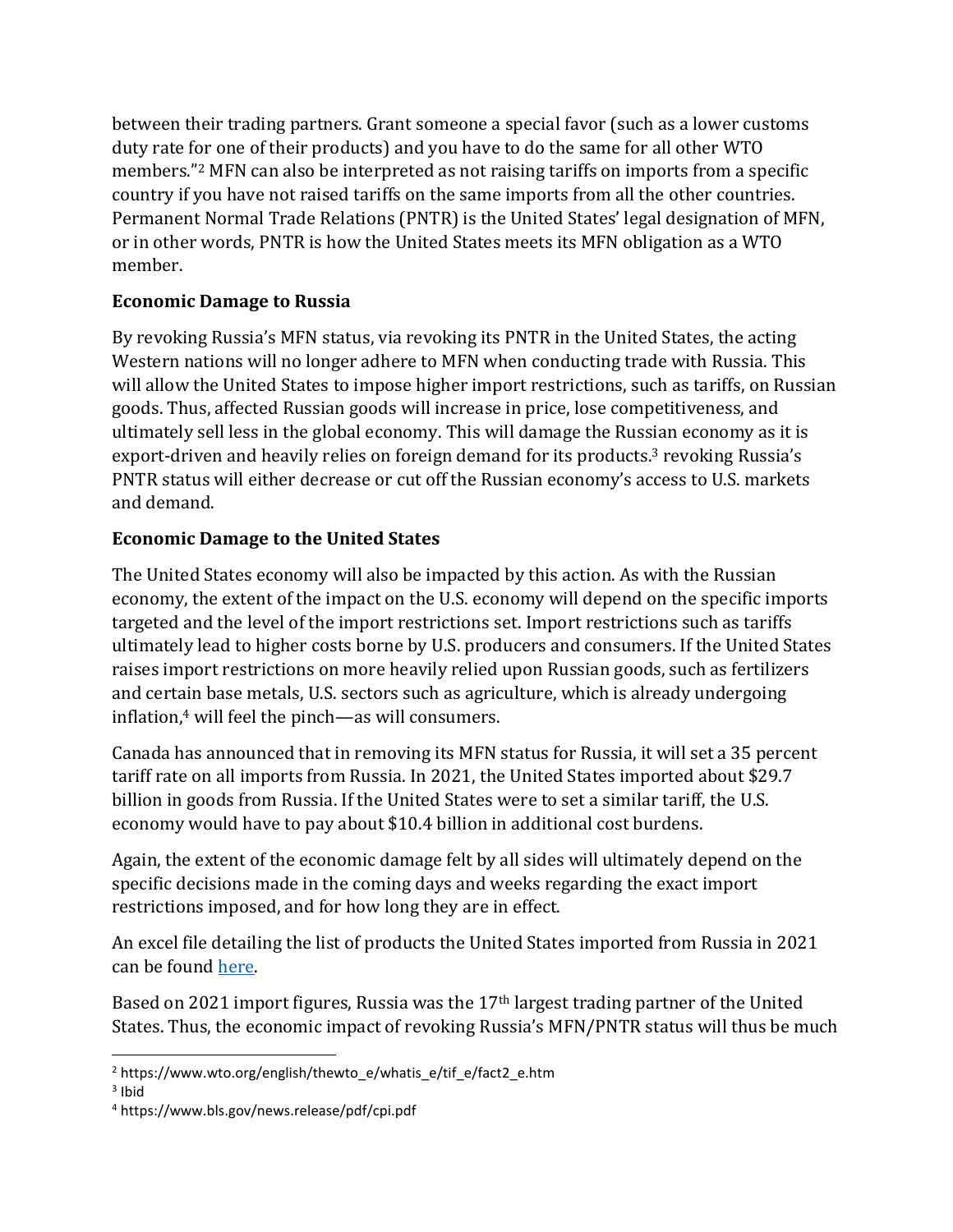between their trading partners. Grant someone a special favor (such as a lower customs duty rate for one of their products) and you have to do the same for all other WTO members."<sup>2</sup> MFN can also be interpreted as not raising tariffs on imports from a specific country if you have not raised tariffs on the same imports from all the other countries. Permanent Normal Trade Relations (PNTR) is the United States' legal designation of MFN, or in other words, PNTR is how the United States meets its MFN obligation as a WTO member.

#### **Economic Damage to Russia**

By revoking Russia's MFN status, via revoking its PNTR in the United States, the acting Western nations will no longer adhere to MFN when conducting trade with Russia. This will allow the United States to impose higher import restrictions, such as tariffs, on Russian goods. Thus, affected Russian goods will increase in price, lose competitiveness, and ultimately sell less in the global economy. This will damage the Russian economy as it is export-driven and heavily relies on foreign demand for its products.<sup>3</sup> revoking Russia's PNTR status will either decrease or cut off the Russian economy's access to U.S. markets and demand.

## **Economic Damage to the United States**

The United States economy will also be impacted by this action. As with the Russian economy, the extent of the impact on the U.S. economy will depend on the specific imports targeted and the level of the import restrictions set. Import restrictions such as tariffs ultimately lead to higher costs borne by U.S. producers and consumers. If the United States raises import restrictions on more heavily relied upon Russian goods, such as fertilizers and certain base metals, U.S. sectors such as agriculture, which is already undergoing inflatio[n,](https://www.americanactionforum.org/multimedia/the-aaf-exchange-ep-97-inflation-war-and-covid-19/) <sup>4</sup> will feel the pinch—as will consumers.

Canada has announced that in removing its MFN status for Russia, it will set a 35 percent tariff rate on all imports from Russia. In 2021, the United States imported about \$29.7 billion in goods from Russia. If the United States were to set a similar tariff, the U.S. economy would have to pay about \$10.4 billion in additional cost burdens.

Again, the extent of the economic damage felt by all sides will ultimately depend on the specific decisions made in the coming days and weeks regarding the exact import restrictions imposed, and for how long they are in effect.

An excel file detailing the list of products the United States imported from Russia in 2021 can be found [here.](https://americanactionforum-my.sharepoint.com/personal/tlee_americanactionforum_org/Documents/Imports%20From%20Russia%20HS%202%20and%204.xlsx?web=1)

Based on 2021 import figures, Russia was the 17th largest trading partner of the United States. Thus, the economic impact of revoking Russia's MFN/PNTR status will thus be much

<sup>2</sup> https://www.wto.org/english/thewto\_e/whatis\_e/tif\_e/fact2\_e.htm

<sup>&</sup>lt;sup>3</sup> Ibid

<sup>4</sup> https://www.bls.gov/news.release/pdf/cpi.pdf